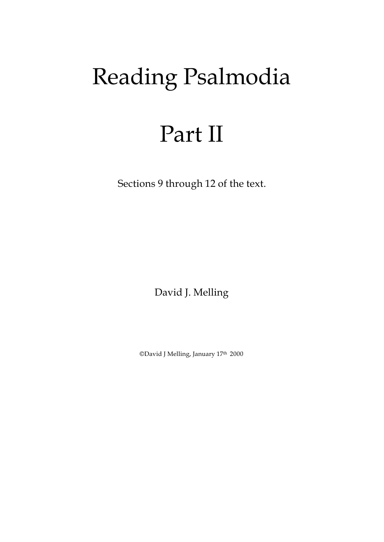# Reading Psalmodia

## Part II

Sections 9 through 12 of the text.

David J. Melling

©David J Melling, January 17th 2000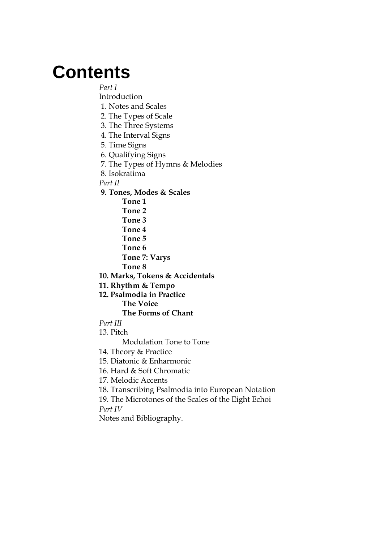### **Contents**

*Part I* Introduction 1. Notes and Scales 2. The Types of Scale 3. The Three Systems 4. The Interval Signs 5. Time Signs 6. Qualifying Signs 7. The Types of Hymns & Melodies 8. Isokratima *Part II*  **9. Tones, Modes & Scales Tone 1 Tone 2 Tone 3 Tone 4 Tone 5 Tone 6 Tone 7: Varys Tone 8 10. Marks, Tokens & Accidentals 11. Rhythm & Tempo 12. Psalmodia in Practice The Voice The Forms of Chant** *Part III* 13. Pitch Modulation Tone to Tone 14. Theory & Practice 15. Diatonic & Enharmonic 16. Hard & Soft Chromatic 17. Melodic Accents 18. Transcribing Psalmodia into European Notation 19. The Microtones of the Scales of the Eight Echoi *Part IV* Notes and Bibliography.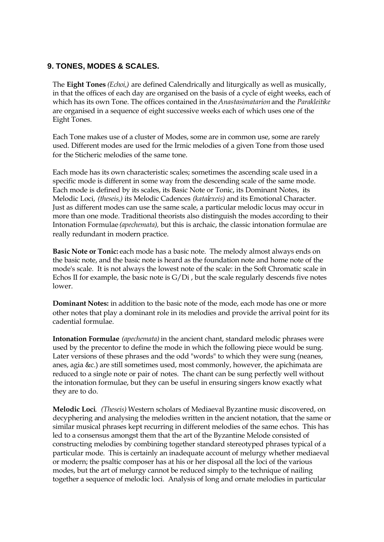#### **9. TONES, MODES & SCALES.**

The **Eight Tones** *(Echoi,)* are defined Calendrically and liturgically as well as musically, in that the offices of each day are organised on the basis of a cycle of eight weeks, each of which has its own Tone. The offices contained in the *Anastasimatarion* and the *Parakleitike* are organised in a sequence of eight successive weeks each of which uses one of the Eight Tones.

Each Tone makes use of a cluster of Modes, some are in common use, some are rarely used. Different modes are used for the Irmic melodies of a given Tone from those used for the Sticheric melodies of the same tone.

Each mode has its own characteristic scales; sometimes the ascending scale used in a specific mode is different in some way from the descending scale of the same mode. Each mode is defined by its scales, its Basic Note or Tonic, its Dominant Notes, its Melodic Loci, *(theseis,)* its Melodic Cadences *(katalexeis)* and its Emotional Character. Just as different modes can use the same scale, a particular melodic locus may occur in more than one mode. Traditional theorists also distinguish the modes according to their Intonation Formulae *(apechemata),* but this is archaic, the classic intonation formulae are really redundant in modern practice.

**Basic Note or Tonic:** each mode has a basic note. The melody almost always ends on the basic note, and the basic note is heard as the foundation note and home note of the mode's scale. It is not always the lowest note of the scale: in the Soft Chromatic scale in Echos II for example, the basic note is  $G/Di$  , but the scale regularly descends five notes lower.

**Dominant Notes:** in addition to the basic note of the mode, each mode has one or more other notes that play a dominant role in its melodies and provide the arrival point for its cadential formulae.

**Intonation Formulae** *(apechemata)* in the ancient chant, standard melodic phrases were used by the precentor to define the mode in which the following piece would be sung. Later versions of these phrases and the odd "words" to which they were sung (neanes, anes, agia &c.) are still sometimes used, most commonly, however, the apichimata are reduced to a single note or pair of notes. The chant can be sung perfectly well without the intonation formulae, but they can be useful in ensuring singers know exactly what they are to do.

**Melodic Loci**. *(Theseis)* Western scholars of Mediaeval Byzantine music discovered, on decyphering and analysing the melodies written in the ancient notation, that the same or similar musical phrases kept recurring in different melodies of the same echos. This has led to a consensus amongst them that the art of the Byzantine Melode consisted of constructing melodies by combining together standard stereotyped phrases typical of a particular mode. This is certainly an inadequate account of melurgy whether mediaeval or modern; the psaltic composer has at his or her disposal all the loci of the various modes, but the art of melurgy cannot be reduced simply to the technique of nailing together a sequence of melodic loci. Analysis of long and ornate melodies in particular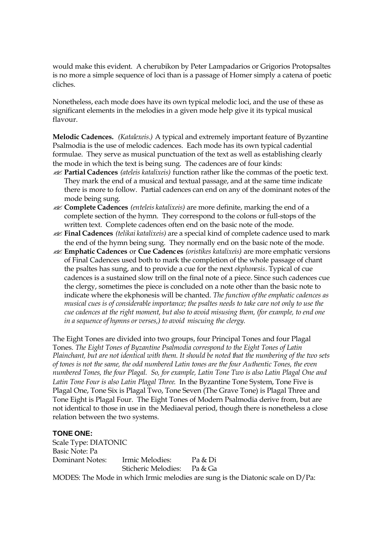would make this evident. A cherubikon by Peter Lampadarios or Grigorios Protopsaltes is no more a simple sequence of loci than is a passage of Homer simply a catena of poetic cliches.

Nonetheless, each mode does have its own typical melodic loci, and the use of these as significant elements in the melodies in a given mode help give it its typical musical flavour.

**Melodic Cadences.** *(Katalexeis.)* A typical and extremely important feature of Byzantine Psalmodia is the use of melodic cadences. Each mode has its own typical cadential formulae. They serve as musical punctuation of the text as well as establishing clearly the mode in which the text is being sung. The cadences are of four kinds:

- ?? **Partial Cadences** *(ateleis katalixeis)* function rather like the commas of the poetic text. They mark the end of a musical and textual passage, and at the same time indicate there is more to follow. Partial cadences can end on any of the dominant notes of the mode being sung.
- ?? **Complete Cadences** *(enteleis katalixeis)* are more definite, marking the end of a complete section of the hymn. They correspond to the colons or full-stops of the written text. Complete cadences often end on the basic note of the mode.
- ?? **Final Cadences** *(telikai katalixeis)* are a special kind of complete cadence used to mark the end of the hymn being sung. They normally end on the basic note of the mode.
- ?? **Emphatic Cadences** or **Cue Cadences** *(oristikes katalixeis)* are more emphatic versions of Final Cadences used both to mark the completion of the whole passage of chant the psaltes has sung, and to provide a cue for the next *ekphonesis*. Typical of cue cadences is a sustained slow trill on the final note of a piece. Since such cadences cue the clergy, sometimes the piece is concluded on a note other than the basic note to indicate where the ekphonesis will be chanted. *The function of the emphatic cadences as musical cues is of considerable importance; the psaltes needs to take care not only to use the cue cadences at the right moment, but also to avoid misusing them, (for example, to end one in a sequence of hymns or verses,) to avoid miscuing the clergy.*

The Eight Tones are divided into two groups, four Principal Tones and four Plagal Tones. *The Eight Tones of Byzantine Psalmodia correspond to the Eight Tones of Latin Plainchant, but are not identical with them. It should be noted that the numbering of the two sets of tones is not the same, the odd numbered Latin tones are the four Authentic Tones, the even numbered Tones, the four Plagal. So, for example, Latin Tone Two is also Latin Plagal One and Latin Tone Four is also Latin Plagal Three*. In the Byzantine Tone System, Tone Five is Plagal One, Tone Six is Plagal Two, Tone Seven (The Grave Tone) is Plagal Three and Tone Eight is Plagal Four. The Eight Tones of Modern Psalmodia derive from, but are not identical to those in use in the Mediaeval period, though there is nonetheless a close relation between the two systems.

#### **TONE ONE:**

Scale Type: DIATONIC Basic Note: Pa Dominant Notes: Irmic Melodies: Pa & Di Sticheric Melodies: Pa & Ga MODES: The Mode in which Irmic melodies are sung is the Diatonic scale on D/Pa: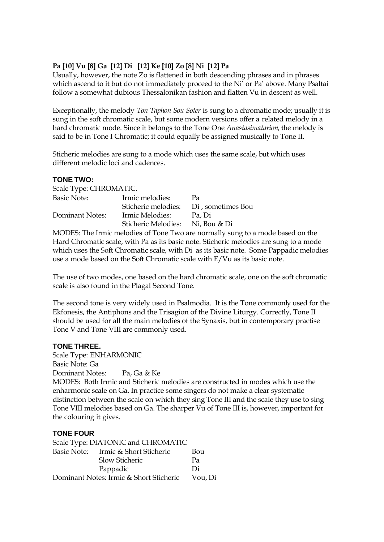#### **Pa [10] Vu [8] Ga [12] Di [12] Ke [10] Zo [8] Ni [12] Pa**

Usually, however, the note Zo is flattened in both descending phrases and in phrases which ascend to it but do not immediately proceed to the Ni' or Pa' above. Many Psaltai follow a somewhat dubious Thessalonikan fashion and flatten Vu in descent as well.

Exceptionally, the melody *Ton Taphon Sou Soter* is sung to a chromatic mode; usually it is sung in the soft chromatic scale, but some modern versions offer a related melody in a hard chromatic mode. Since it belongs to the Tone One *Anastasimatarion*, the melody is said to be in Tone I Chromatic; it could equally be assigned musically to Tone II.

Sticheric melodies are sung to a mode which uses the same scale, but which uses different melodic loci and cadences.

#### **TONE TWO:**

Scale Type: CHROMATIC.

| Basic Note:     | Irmic melodies:            | P <sub>a</sub>    |
|-----------------|----------------------------|-------------------|
|                 | Sticheric melodies:        | Di, sometimes Bou |
| Dominant Notes: | Irmic Melodies:            | Pa. Di            |
|                 | <b>Sticheric Melodies:</b> | Ni, Bou & Di      |
|                 |                            |                   |

MODES: The Irmic melodies of Tone Two are normally sung to a mode based on the Hard Chromatic scale, with Pa as its basic note. Sticheric melodies are sung to a mode which uses the Soft Chromatic scale, with Di as its basic note. Some Pappadic melodies use a mode based on the Soft Chromatic scale with E/Vu as its basic note.

The use of two modes, one based on the hard chromatic scale, one on the soft chromatic scale is also found in the Plagal Second Tone.

The second tone is very widely used in Psalmodia. It is the Tone commonly used for the Ekfonesis, the Antiphons and the Trisagion of the Divine Liturgy. Correctly, Tone II should be used for all the main melodies of the Synaxis, but in contemporary practise Tone V and Tone VIII are commonly used.

#### **TONE THREE.**

Scale Type: ENHARMONIC Basic Note: Ga Dominant Notes: Pa, Ga & Ke

MODES: Both Irmic and Sticheric melodies are constructed in modes which use the enharmonic scale on Ga. In practice some singers do not make a clear systematic distinction between the scale on which they sing Tone III and the scale they use to sing Tone VIII melodies based on Ga. The sharper Vu of Tone III is, however, important for the colouring it gives.

#### **TONE FOUR**

|                                         | Scale Type: DIATONIC and CHROMATIC  |     |
|-----------------------------------------|-------------------------------------|-----|
|                                         | Basic Note: Irmic & Short Sticheric | Bou |
|                                         | Slow Sticheric                      | Pa  |
|                                         | Pappadic                            | Di  |
| Dominant Notes: Irmic & Short Sticheric | Vou, Di                             |     |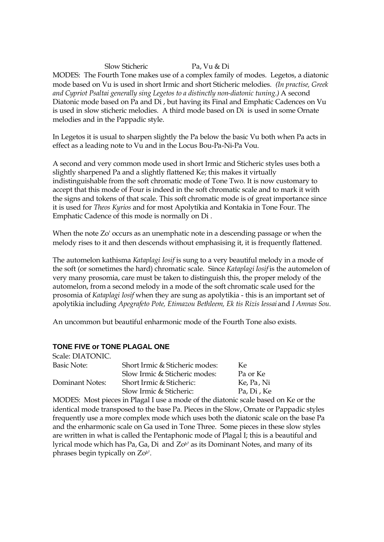Slow Sticheric Pa, Vu & Di MODES: The Fourth Tone makes use of a complex family of modes. Legetos, a diatonic mode based on Vu is used in short Irmic and short Sticheric melodies. *(In practise, Greek and Cypriot Psaltai generally sing Legetos to a distinctly non-diatonic tuning.)* A second Diatonic mode based on Pa and Di , but having its Final and Emphatic Cadences on Vu is used in slow sticheric melodies. A third mode based on Di is used in some Ornate melodies and in the Pappadic style.

In Legetos it is usual to sharpen slightly the Pa below the basic Vu both when Pa acts in effect as a leading note to Vu and in the Locus Bou-Pa-Ni-Pa Vou.

A second and very common mode used in short Irmic and Sticheric styles uses both a slightly sharpened Pa and a slightly flattened Ke; this makes it virtually indistinguishable from the soft chromatic mode of Tone Two. It is now customary to accept that this mode of Four is indeed in the soft chromatic scale and to mark it with the signs and tokens of that scale. This soft chromatic mode is of great importance since it is used for *Theos Kyrios* and for most Apolytikia and Kontakia in Tone Four. The Emphatic Cadence of this mode is normally on Di .

When the note Zo' occurs as an unemphatic note in a descending passage or when the melody rises to it and then descends without emphasising it, it is frequently flattened.

The automelon kathisma *Kataplagi Iosif* is sung to a very beautiful melody in a mode of the soft (or sometimes the hard) chromatic scale. Since *Kataplagi Iosif* is the automelon of very many prosomia, care must be taken to distinguish this, the proper melody of the automelon, from a second melody in a mode of the soft chromatic scale used for the prosomia of *Kataplagi Iosif* when they are sung as apolytikia - this is an important set of apolytikia including *Apegrafeto Pote, Etimazou Bethleem, Ek tis Rizis Iessai* and *I Amnas Sou.*

An uncommon but beautiful enharmonic mode of the Fourth Tone also exists.

#### **TONE FIVE or TONE PLAGAL ONE**

| Short Irmic & Sticheric modes: | Ke.        |
|--------------------------------|------------|
| Slow Irmic & Sticheric modes:  | Pa or Ke   |
| Short Irmic & Sticheric:       | Ke, Pa, Ni |
| Slow Irmic & Sticheric:        | Pa, Di, Ke |
|                                |            |

MODES: Most pieces in Plagal I use a mode of the diatonic scale based on Ke or the identical mode transposed to the base Pa. Pieces in the Slow, Ornate or Pappadic styles frequently use a more complex mode which uses both the diatonic scale on the base Pa and the enharmonic scale on Ga used in Tone Three. Some pieces in these slow styles are written in what is called the Pentaphonic mode of Plagal I; this is a beautiful and lyrical mode which has Pa, Ga, Di and Zo<sup>b'</sup> as its Dominant Notes, and many of its phrases begin typically on Zob'.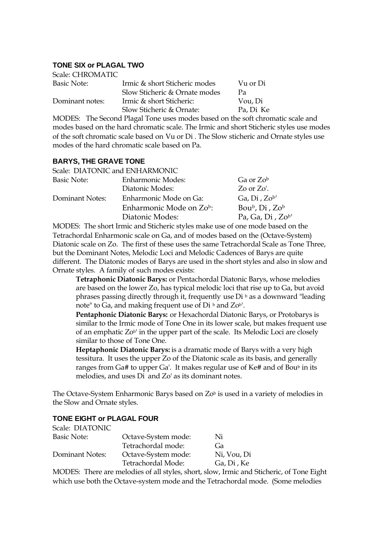#### **TONE SIX or PLAGAL TWO**

| Scale: CHROMATIC |                               |           |
|------------------|-------------------------------|-----------|
| Basic Note:      | Irmic & short Sticheric modes | Vu or Di  |
|                  | Slow Sticheric & Ornate modes | Pa        |
| Dominant notes:  | Irmic & short Sticheric:      | Vou, Di   |
|                  | Slow Sticheric & Ornate:      | Pa, Di Ke |

MODES: The Second Plagal Tone uses modes based on the soft chromatic scale and modes based on the hard chromatic scale. The Irmic and short Sticheric styles use modes of the soft chromatic scale based on Vu or Di . The Slow sticheric and Ornate styles use modes of the hard chromatic scale based on Pa.

#### **BARYS, THE GRAVE TONE**

|                 | Scale: DIATONIC and ENHARMONIC |                               |
|-----------------|--------------------------------|-------------------------------|
| Basic Note:     | <b>Enharmonic Modes:</b>       | Ga or $Zob$                   |
|                 | Diatonic Modes:                | Zo or $Zo'.$                  |
| Dominant Notes: | Enharmonic Mode on Ga:         | Ga, Di, $Zo^{b}$              |
|                 | Enharmonic Mode on Zob:        | Bou <sup>b</sup> , Di, $Zo^b$ |
|                 | Diatonic Modes:                | Pa, Ga, Di, Zo <sup>b'</sup>  |

MODES: The short Irmic and Sticheric styles make use of one mode based on the Tetrachordal Enharmonic scale on Ga, and of modes based on the (Octave-System) Diatonic scale on Zo. The first of these uses the same Tetrachordal Scale as Tone Three, but the Dominant Notes, Melodic Loci and Melodic Cadences of Barys are quite different. The Diatonic modes of Barys are used in the short styles and also in slow and Ornate styles. A family of such modes exists:

**Tetraphonic Diatonic Barys:** or Pentachordal Diatonic Barys, whose melodies are based on the lower Zo, has typical melodic loci that rise up to Ga, but avoid phrases passing directly through it, frequently use  $Di b$  as a downward "leading note" to Ga, and making frequent use of Di  $\frac{b}{c}$  and Zo<sup>b'</sup>.

**Pentaphonic Diatonic Barys:** or Hexachordal Diatonic Barys, or Protobarys is similar to the Irmic mode of Tone One in its lower scale, but makes frequent use of an emphatic Zob' in the upper part of the scale. Its Melodic Loci are closely similar to those of Tone One.

**Heptaphonic Diatonic Barys:** is a dramatic mode of Barys with a very high tessitura. It uses the upper Zo of the Diatonic scale as its basis, and generally ranges from Ga# to upper Ga'. It makes regular use of Ke# and of Boub in its melodies, and uses Di and Zo' as its dominant notes.

The Octave-System Enharmonic Barys based on  $Zo<sup>b</sup>$  is used in a variety of melodies in the Slow and Ornate styles.

#### **TONE EIGHT or PLAGAL FOUR**

| Scale: DIATONIC |                     |             |
|-----------------|---------------------|-------------|
| Basic Note:     | Octave-System mode: | Ni          |
|                 | Tetrachordal mode:  | ( ÷ัล       |
| Dominant Notes: | Octave-System mode: | Ni, Vou, Di |
|                 | Tetrachordal Mode:  | Ga, Di, Ke  |
|                 |                     |             |

MODES: There are melodies of all styles, short, slow, Irmic and Sticheric, of Tone Eight which use both the Octave-system mode and the Tetrachordal mode. (Some melodies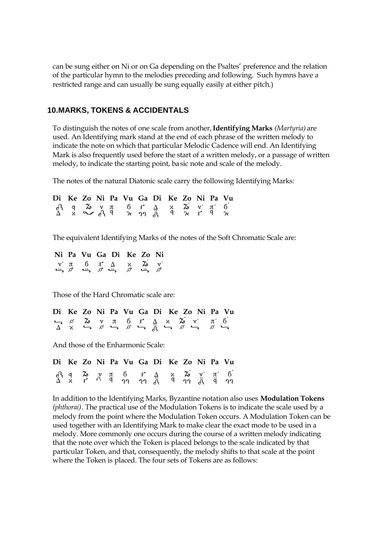can be sung either on Ni or on Ga depending on the Psaltes' preference and the relation of the particular hymn to the melodies preceding and following. Such hymns have a restricted range and can usually be sung equally easily at either pitch.)

#### **10.MARKS, TOKENS & ACCIDENTALS**

To distinguish the notes of one scale from another, **Identifying Marks** *(Martyria)* are used. An Identifying mark stand at the end of each phrase of the written melody to indicate the note on which that particular Melodic Cadence will end. An Identifying Mark is also frequently used before the start of a written melody, or a passage of written melody, to indicate the starting point, basic note and scale of the melody.

The notes of the natural Diatonic scale carry the following Identifying Marks:

|  |  |  |  | Di Ke Zo Ni Pa Vu Ga Di Ke Zo Ni Pa Vu |  |  |
|--|--|--|--|----------------------------------------|--|--|
|  |  |  |  |                                        |  |  |

The equivalent Identifying Marks of the notes of the Soft Chromatic Scale are:

 **Ni Pa Vu Ga Di Ke Zo Ni**   $\begin{array}{ccccccccc}\nV & \pi & 6 & \Gamma & \Delta & \pi & \mathcal{Z} & \nu' \\
\vdots & \beta & \vdots & \beta & \vdots & \beta & \vdots & \beta\n\end{array}$ 

Those of the Hard Chromatic scale are:

|  |  |  |  | Di Ke Zo Ni Pa Vu Ga Di Ke Zo Ni Pa Vu                                                                                                                                                                                                                                                                                                                                                                                                                                                                               |  |  |
|--|--|--|--|----------------------------------------------------------------------------------------------------------------------------------------------------------------------------------------------------------------------------------------------------------------------------------------------------------------------------------------------------------------------------------------------------------------------------------------------------------------------------------------------------------------------|--|--|
|  |  |  |  | $\begin{array}{cccccccccccccccccc} \backsim & \mathop{\mathbb{Z}} & \mathop{\mathbb{Z}} & \mathop{\mathbb{Z}} & \mathop{\mathbb{V}} & \pi & \mathop{\mathbb{G}} & \sqsubset & \mathop{\mathbb{A}} & \mathop{\mathbb{X}} & \mathop{\mathbb{Z}} & \mathop{\mathbb{V}}' & \pi & \mathop{\mathbb{G}}' \\ \Delta & \mathop{\mathbb{X}} & \mathop{\mathbb{Z}} & \mathop{\mathbb{X}} & \mathop{\mathbb{Z}} & \mathop{\mathbb{Z}} & \mathop{\mathbb{Z}} & \mathop{\mathbb{Z}} & \mathop{\mathbb{Z}} & \mathop{\mathbb{Z}} &$ |  |  |

And those of the Enharmonic Scale:

|  |  | Di Ke Zo Ni Pa Vu Ga Di Ke Zo Ni Pa Vu |  |  |  |  |
|--|--|----------------------------------------|--|--|--|--|
|  |  |                                        |  |  |  |  |

In addition to the Identifying Marks, Byzantine notation also uses **Modulation Tokens**  *(phthorai)*. The practical use of the Modulation Tokens is to indicate the scale used by a melody from the point where the Modulation Token occurs. A Modulation Token can be used together with an Identifying Mark to make clear the exact mode to be used in a melody. More commonly one occurs during the course of a written melody indicating that the note over which the Token is placed belongs to the scale indicated by that particular Token, and that, consequently, the melody shifts to that scale at the point where the Token is placed. The four sets of Tokens are as follows: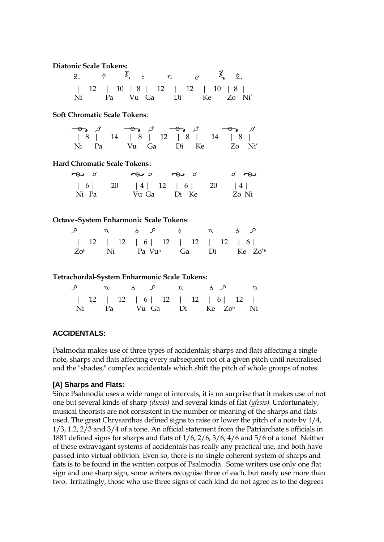#### **Diatonic Scale Tokens:**

|  |  |  | $\alpha$ $\beta$ $\beta$ $\beta$ $\alpha$ $\beta$ $\beta$ |  |  |  |
|--|--|--|-----------------------------------------------------------|--|--|--|
|  |  |  | Ni Pa Vu Ga Di Ke Zo Ni'                                  |  |  |  |

#### **Soft Chromatic Scale Tokens**:

| $-\theta$ ) $\alpha$ $-\theta$ ) $\alpha$ $-\theta$ ) $\alpha$ $-\theta$ ) $\alpha$ |  |  |  |  |
|-------------------------------------------------------------------------------------|--|--|--|--|
| 8   14   8   12   8   14   8                                                        |  |  |  |  |
| Ni Pa Vu Ga Di Ke Zo Ni'                                                            |  |  |  |  |

#### **Hard Chromatic Scale Tokens** :

| $\int \phi$ $\phi$ | $\int \frac{1}{x} \, dx$                                                                                |  | $\sigma$ row             |
|--------------------|---------------------------------------------------------------------------------------------------------|--|--------------------------|
| Ni Pa              | $\begin{array}{ c c c c c c c c } \hline 6 & 20 & 4 & 12 & 6 & 20 \ \hline \end{array}$<br>Vu Gali Dike |  | $\vert 4 \vert$<br>Zo Ni |

#### **Octave-System Enharmonic Scale Tokens**:

|  | فر به مع ام به هر م                                   |  |  |
|--|-------------------------------------------------------|--|--|
|  |                                                       |  |  |
|  | $Zob$ Ni Pa Vu <sup>b</sup> Ga Di Ke Zo <sup>'b</sup> |  |  |

#### **Tetrachordal-System Enharmonic Scale Tokens:**

|  |  | ە كر ق م ك م                         |  |  |  |  |
|--|--|--------------------------------------|--|--|--|--|
|  |  |                                      |  |  |  |  |
|  |  | Ni Pa Vu Ga Di Ke Zo <sup>b</sup> Ni |  |  |  |  |

#### **ACCIDENTALS:**

Psalmodia makes use of three types of accidentals; sharps and flats affecting a single note, sharps and flats affecting every subsequent not of a given pitch until neutralised and the "shades," complex accidentals which shift the pitch of whole groups of notes.

#### **[A] Sharps and Flats:**

Since Psalmodia uses a wide range of intervals, it is no surprise that it makes use of not one but several kinds of sharp *(diesis)* and several kinds of flat *(yfesis).* Unfortunately, musical theorists are not consistent in the number or meaning of the sharps and flats used. The great Chrysanthos defined signs to raise or lower the pitch of a note by 1/4, 1/3, 1.2, 2/3 and 3/4 of a tone. An official statement from the Patriarchate's officials in 1881 defined signs for sharps and flats of 1/6, 2/6, 3/6, 4/6 and 5/6 of a tone! Neither of these extravagant systems of accidentals has really any practical use, and both have passed into virtual oblivion. Even so, there is no single coherent system of sharps and flats is to be found in the written corpus of Psalmodia. Some writers use only one flat sign and one sharp sign, some writers recognise three of each, but rarely use more than two. Irritatingly, those who use three signs of each kind do not agree as to the degrees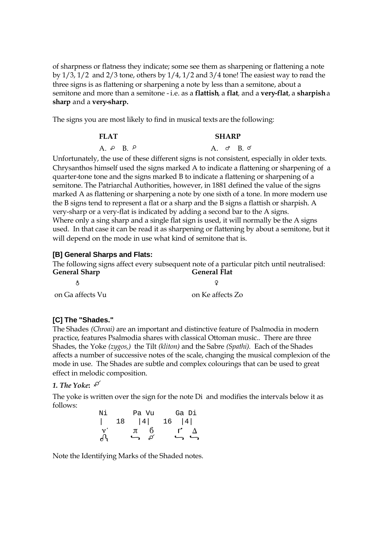of sharpness or flatness they indicate; some see them as sharpening or flattening a note by 1/3, 1/2 and 2/3 tone, others by 1/4, 1/2 and 3/4 tone! The easiest way to read the three signs is as flattening or sharpening a note by less than a semitone, about a semitone and more than a semitone - i.e. as a **flattish***,* a **flat***,* and a **very-flat**, a **sharpish**a **sharp** and a **very-sharp.**

The signs you are most likely to find in musical texts are the following:

| <b>FLAT</b>                       | <b>SHARP</b> |  |  |  |
|-----------------------------------|--------------|--|--|--|
| A. $\mathcal{P}$ B. $\mathcal{P}$ | A o* B o     |  |  |  |

Unfortunately, the use of these different signs is not consistent, especially in older texts. Chrysanthos himself used the signs marked A to indicate a flattening or sharpening of a quarter-tone tone and the signs marked B to indicate a flattening or sharpening of a semitone. The Patriarchal Authorities, however, in 1881 defined the value of the signs marked A as flattening or sharpening a note by one sixth of a tone. In more modern use the B signs tend to represent a flat or a sharp and the B signs a flattish or sharpish. A very-sharp or a very-flat is indicated by adding a second bar to the A signs. Where only a sing sharp and a single flat sign is used, it will normally be the A signs used. In that case it can be read it as sharpening or flattening by about a semitone, but it will depend on the mode in use what kind of semitone that is.

#### **[B] General Sharps and Flats:**

The following signs affect every subsequent note of a particular pitch until neutralised: **General Sharp General Flat**  $\mathcal{L}$ on Ga affects Vu on Ke affects Zo

#### **[C] The "Shades."**

The Shades *(Chroai)* are an important and distinctive feature of Psalmodia in modern practice, features Psalmodia shares with classical Ottoman music.. There are three Shades, the Yoke *(zygos,)* the Tilt *(kliton)* and the Sabre *(Spathi).* Each of the Shades affects a number of successive notes of the scale, changing the musical complexion of the mode in use. The Shades are subtle and complex colourings that can be used to great effect in melodic composition.

#### 1. The Yoke:  $\mathcal{L}$

The yoke is written over the sign for the note Di and modifies the intervals below it as follows:

| Ni |                | Pa Vu       Ga Di        |
|----|----------------|--------------------------|
|    |                | 18   4   16   4          |
|    | $\pi$ 6        | $\Gamma$ $\Delta$        |
| d۶ | $\overline{a}$ | $\overline{\phantom{0}}$ |

Note the Identifying Marks of the Shaded notes.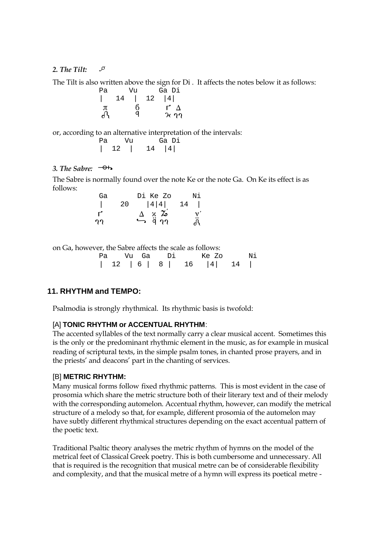#### 2. The Tilt:  $\mathcal{S}$

The Tilt is also written above the sign for Di . It affects the notes below it as follows:

| Pa |    | Vu | Ga Di                           |
|----|----|----|---------------------------------|
|    | 14 |    | $12 \mid 4 \mid$                |
| π  |    | n  | $\Gamma$ $\Delta$<br>$x \eta_1$ |

or, according to an alternative interpretation of the intervals:

| Pa | \/11 | Ga Di |   |  |  |
|----|------|-------|---|--|--|
|    | כי ד |       | 4 |  |  |

#### 3. The Sabre:  $-\theta$ **b**

The Sabre is normally found over the note Ke or the note Ga. On Ke its effect is as follows:

| Ga           |    | Di Ke Zo                                                  | Ni            |
|--------------|----|-----------------------------------------------------------|---------------|
|              | 20 | 4 4                                                       | 14            |
| $\mathsf{r}$ |    | $\frac{\Delta}{\sqrt{2}}$ $\frac{\pi}{9}$ $\frac{25}{12}$ | $\mathbf{y}'$ |
| າາ           |    |                                                           | ժ\            |

on Ga, however, the Sabre affects the scale as follows:

|  |  |  | Pa Vu Ga Di Ke Zo Ni |  |
|--|--|--|----------------------|--|
|  |  |  |                      |  |

#### **11. RHYTHM and TEMPO:**

Psalmodia is strongly rhythmical. Its rhythmic basis is twofold:

#### [A] **TONIC RHYTHM or ACCENTUAL RHYTHM**:

The accented syllables of the text normally carry a clear musical accent. Sometimes this is the only or the predominant rhythmic element in the music, as for example in musical reading of scriptural texts, in the simple psalm tones, in chanted prose prayers, and in the priests' and deacons' part in the chanting of services.

#### [B] **METRIC RHYTHM:**

Many musical forms follow fixed rhythmic patterns. This is most evident in the case of prosomia which share the metric structure both of their literary text and of their melody with the corresponding automelon. Accentual rhythm, however, can modify the metrical structure of a melody so that, for example, different prosomia of the automelon may have subtly different rhythmical structures depending on the exact accentual pattern of the poetic text.

Traditional Psaltic theory analyses the metric rhythm of hymns on the model of the metrical feet of Classical Greek poetry. This is both cumbersome and unnecessary. All that is required is the recognition that musical metre can be of considerable flexibility and complexity, and that the musical metre of a hymn will express its poetical metre -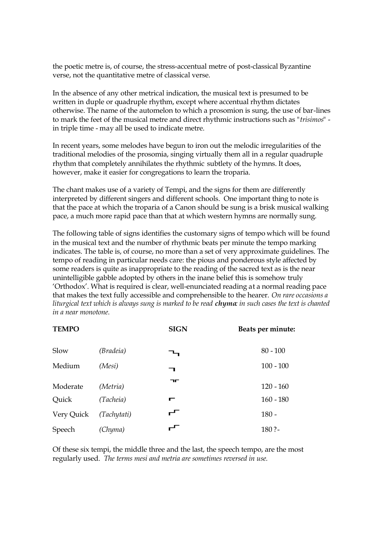the poetic metre is, of course, the stress-accentual metre of post-classical Byzantine verse, not the quantitative metre of classical verse.

In the absence of any other metrical indication, the musical text is presumed to be written in duple or quadruple rhythm, except where accentual rhythm dictates otherwise. The name of the automelon to which a prosomion is sung, the use of bar-lines to mark the feet of the musical metre and direct rhythmic instructions such as "*trisimos*" in triple time - may all be used to indicate metre.

In recent years, some melodes have begun to iron out the melodic irregularities of the traditional melodies of the prosomia, singing virtually them all in a regular quadruple rhythm that completely annihilates the rhythmic subtlety of the hymns. It does, however, make it easier for congregations to learn the troparia.

The chant makes use of a variety of Tempi, and the signs for them are differently interpreted by different singers and different schools. One important thing to note is that the pace at which the troparia of a Canon should be sung is a brisk musical walking pace, a much more rapid pace than that at which western hymns are normally sung.

The following table of signs identifies the customary signs of tempo which will be found in the musical text and the number of rhythmic beats per minute the tempo marking indicates. The table is, of course, no more than a set of very approximate guidelines. The tempo of reading in particular needs care: the pious and ponderous style affected by some readers is quite as inappropriate to the reading of the sacred text as is the near unintelligible gabble adopted by others in the inane belief this is somehow truly 'Orthodox'. What is required is clear, well-enunciated reading at a normal reading pace that makes the text fully accessible and comprehensible to the hearer. *On rare occasions a liturgical text which is always sung is marked to be read chyma: in such cases the text is chanted in a near monotone.* 

| <b>TEMPO</b> |             | <b>SIGN</b> | Beats per minute: |
|--------------|-------------|-------------|-------------------|
| Slow         | (Bradeia)   |             | $80 - 100$        |
| Medium       | (Mesi)      |             | $100 - 100$       |
| Moderate     | (Metria)    | $\neg$      | $120 - 160$       |
| Quick        | (Tacheia)   |             | $160 - 180$       |
| Very Quick   | (Tachytati) | ┍┸          | $180 -$           |
| Speech       | (Chyma)     |             | 180 ?-            |

Of these six tempi, the middle three and the last, the speech tempo, are the most regularly used. *The terms mesi and metria are sometimes reversed in use.*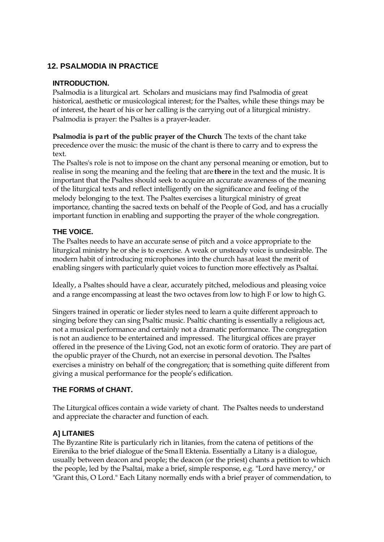#### **12. PSALMODIA IN PRACTICE**

#### **INTRODUCTION.**

Psalmodia is a liturgical art. Scholars and musicians may find Psalmodia of great historical, aesthetic or musicological interest; for the Psaltes, while these things may be of interest, the heart of his or her calling is the carrying out of a liturgical ministry. Psalmodia is prayer: the Psaltes is a prayer-leader.

**Psalmodia is part of the public prayer of the Church**. The texts of the chant take precedence over the music: the music of the chant is there to carry and to express the text.

The Psaltes's role is not to impose on the chant any personal meaning or emotion, but to realise in song the meaning and the feeling that are **there** in the text and the music. It is important that the Psaltes should seek to acquire an accurate awareness of the meaning of the liturgical texts and reflect intelligently on the significance and feeling of the melody belonging to the text. The Psaltes exercises a liturgical ministry of great importance, chanting the sacred texts on behalf of the People of God, and has a crucially important function in enabling and supporting the prayer of the whole congregation.

#### **THE VOICE.**

The Psaltes needs to have an accurate sense of pitch and a voice appropriate to the liturgical ministry he or she is to exercise. A weak or unsteady voice is undesirable. The modern habit of introducing microphones into the church has at least the merit of enabling singers with particularly quiet voices to function more effectively as Psaltai.

Ideally, a Psaltes should have a clear, accurately pitched, melodious and pleasing voice and a range encompassing at least the two octaves from low to high F or low to high G.

Singers trained in operatic or lieder styles need to learn a quite different approach to singing before they can sing Psaltic music. Psaltic chanting is essentially a religious act, not a musical performance and certainly not a dramatic performance. The congregation is not an audience to be entertained and impressed. The liturgical offices are prayer offered in the presence of the Living God, not an exotic form of oratorio. They are part of the opublic prayer of the Church, not an exercise in personal devotion. The Psaltes exercises a ministry on behalf of the congregation; that is something quite different from giving a musical performance for the people's edification.

#### **THE FORMS of CHANT.**

The Liturgical offices contain a wide variety of chant. The Psaltes needs to understand and appreciate the character and function of each.

#### **A] LITANIES**

The Byzantine Rite is particularly rich in litanies, from the catena of petitions of the Eirenika to the brief dialogue of the Small Ektenia. Essentially a Litany is a dialogue, usually between deacon and people; the deacon (or the priest) chants a petition to which the people, led by the Psaltai, make a brief, simple response, e.g. "Lord have mercy," or "Grant this, O Lord." Each Litany normally ends with a brief prayer of commendation, to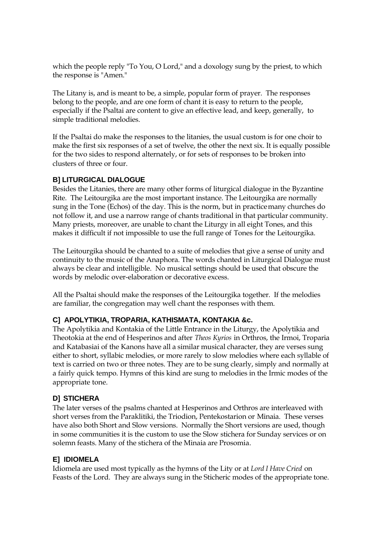which the people reply "To You, O Lord," and a doxology sung by the priest, to which the response is "Amen."

The Litany is, and is meant to be, a simple, popular form of prayer. The responses belong to the people, and are one form of chant it is easy to return to the people, especially if the Psaltai are content to give an effective lead, and keep, generally, to simple traditional melodies.

If the Psaltai do make the responses to the litanies, the usual custom is for one choir to make the first six responses of a set of twelve, the other the next six. It is equally possible for the two sides to respond alternately, or for sets of responses to be broken into clusters of three or four.

#### **B] LITURGICAL DIALOGUE**

Besides the Litanies, there are many other forms of liturgical dialogue in the Byzantine Rite. The Leitourgika are the most important instance. The Leitourgika are normally sung in the Tone (Echos) of the day. This is the norm, but in practice many churches do not follow it, and use a narrow range of chants traditional in that particular community. Many priests, moreover, are unable to chant the Liturgy in all eight Tones, and this makes it difficult if not impossible to use the full range of Tones for the Leitourgika.

The Leitourgika should be chanted to a suite of melodies that give a sense of unity and continuity to the music of the Anaphora. The words chanted in Liturgical Dialogue must always be clear and intelligible. No musical settings should be used that obscure the words by melodic over-elaboration or decorative excess.

All the Psaltai should make the responses of the Leitourgika together. If the melodies are familiar, the congregation may well chant the responses with them.

#### **C] APOLYTIKIA, TROPARIA, KATHISMATA, KONTAKIA &c.**

The Apolytikia and Kontakia of the Little Entrance in the Liturgy, the Apolytikia and Theotokia at the end of Hesperinos and after *Theos Kyrios* in Orthros, the Irmoi, Troparia and Katabasiai of the Kanons have all a similar musical character, they are verses sung either to short, syllabic melodies, or more rarely to slow melodies where each syllable of text is carried on two or three notes. They are to be sung clearly, simply and normally at a fairly quick tempo. Hymns of this kind are sung to melodies in the Irmic modes of the appropriate tone.

#### **D] STICHERA**

The later verses of the psalms chanted at Hesperinos and Orthros are interleaved with short verses from the Paraklitiki, the Triodion, Pentekostarion or Minaia. These verses have also both Short and Slow versions. Normally the Short versions are used, though in some communities it is the custom to use the Slow stichera for Sunday services or on solemn feasts. Many of the stichera of the Minaia are Prosomia.

#### **E] IDIOMELA**

Idiomela are used most typically as the hymns of the Lity or at *Lord I Have Cried* on Feasts of the Lord. They are always sung in the Sticheric modes of the appropriate tone.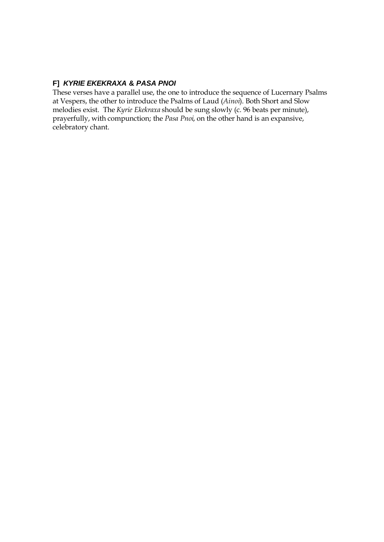#### **F]** *KYRIE EKEKRAXA* **&** *PASA PNOI*

These verses have a parallel use, the one to introduce the sequence of Lucernary Psalms at Vespers, the other to introduce the Psalms of Laud (*Ainoi*). Both Short and Slow melodies exist. The *Kyrie Ekekraxa* should be sung slowly (c. 96 beats per minute), prayerfully, with compunction; the *Pasa Pnoi*, on the other hand is an expansive, celebratory chant.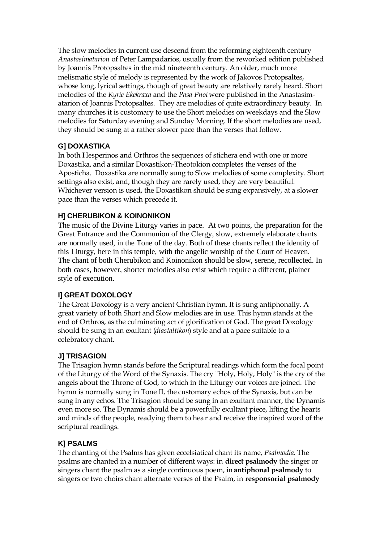The slow melodies in current use descend from the reforming eighteenth century *Anastasimatarion* of Peter Lampadarios, usually from the reworked edition published by Joannis Protopsaltes in the mid nineteenth century. An older, much more melismatic style of melody is represented by the work of Jakovos Protopsaltes, whose long, lyrical settings, though of great beauty are relatively rarely heard. Short melodies of the *Kyrie Ekekraxa* and the *Pasa Pnoi* were published in the Anastasimatarion of Joannis Protopsaltes. They are melodies of quite extraordinary beauty. In many churches it is customary to use the Short melodies on weekdays and the Slow melodies for Saturday evening and Sunday Morning. If the short melodies are used, they should be sung at a rather slower pace than the verses that follow.

#### **G] DOXASTIKA**

In both Hesperinos and Orthros the sequences of stichera end with one or more Doxastika, and a similar Doxastikon-Theotokion completes the verses of the Aposticha. Doxastika are normally sung to Slow melodies of some complexity. Short settings also exist, and, though they are rarely used, they are very beautiful. Whichever version is used, the Doxastikon should be sung expansively, at a slower pace than the verses which precede it.

#### **H] CHERUBIKON & KOINONIKON**

The music of the Divine Liturgy varies in pace. At two points, the preparation for the Great Entrance and the Communion of the Clergy, slow, extremely elaborate chants are normally used, in the Tone of the day. Both of these chants reflect the identity of this Liturgy, here in this temple, with the angelic worship of the Court of Heaven. The chant of both Cherubikon and Koinonikon should be slow, serene, recollected. In both cases, however, shorter melodies also exist which require a different, plainer style of execution.

#### **I] GREAT DOXOLOGY**

The Great Doxology is a very ancient Christian hymn. It is sung antiphonally. A great variety of both Short and Slow melodies are in use. This hymn stands at the end of Orthros, as the culminating act of glorification of God. The great Doxology should be sung in an exultant (*diastaltikon*) style and at a pace suitable to a celebratory chant.

#### **J] TRISAGION**

The Trisagion hymn stands before the Scriptural readings which form the focal point of the Liturgy of the Word of the Synaxis. The cry "Holy, Holy, Holy" is the cry of the angels about the Throne of God, to which in the Liturgy our voices are joined. The hymn is normally sung in Tone II, the customary echos of the Synaxis, but can be sung in any echos. The Trisagion should be sung in an exultant manner, the Dynamis even more so. The Dynamis should be a powerfully exultant piece, lifting the hearts and minds of the people, readying them to hear and receive the inspired word of the scriptural readings.

#### **K] PSALMS**

The chanting of the Psalms has given eccelsiatical chant its name, *Psalmodia.* The psalms are chanted in a number of different ways: in **direct psalmody** the singer or singers chant the psalm as a single continuous poem, in **antiphonal psalmody** to singers or two choirs chant alternate verses of the Psalm, in **responsorial psalmody**